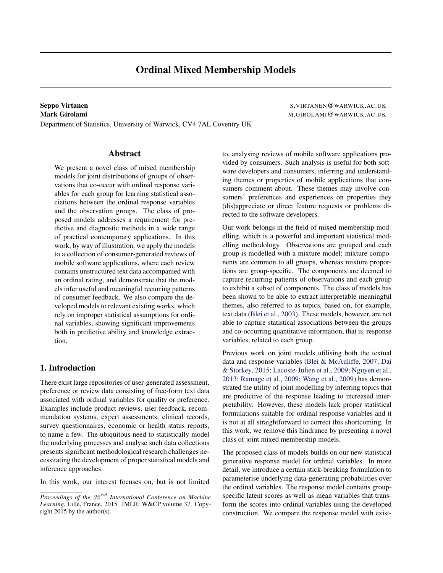Department of Statistics, University of Warwick, CV4 7AL Coventry UK

# Abstract

We present a novel class of mixed membership models for joint distributions of groups of observations that co-occur with ordinal response variables for each group for learning statistical associations between the ordinal response variables and the observation groups. The class of proposed models addresses a requirement for predictive and diagnostic methods in a wide range of practical contemporary applications. In this work, by way of illustration, we apply the models to a collection of consumer-generated reviews of mobile software applications, where each review contains unstructured text data accompanied with an ordinal rating, and demonstrate that the models infer useful and meaningful recurring patterns of consumer feedback. We also compare the developed models to relevant existing works, which rely on improper statistical assumptions for ordinal variables, showing significant improvements both in predictive ability and knowledge extraction.

# 1. Introduction

There exist large repositories of user-generated assessment, preference or review data consisting of free-form text data associated with ordinal variables for quality or preference. Examples include product reviews, user feedback, recommendation systems, expert assessments, clinical records, survey questionnaires, economic or health status reports, to name a few. The ubiquitous need to statistically model the underlying processes and analyse such data collections presents significant methodological research challenges necessitating the development of proper statistical models and inference approaches.

In this work, our interest focuses on, but is not limited

Seppo Virtanen S.VIRTANEN@WARWICK.AC.UK Mark Girolami Mark Girolami M.GIROLAMI (WARWICK.AC.UK

> to, analysing reviews of mobile software applications provided by consumers. Such analysis is useful for both software developers and consumers, inferring and understanding themes or properties of mobile applications that consumers comment about. These themes may involve consumers' preferences and experiences on properties they (dis)appreciate or direct feature requests or problems directed to the software developers.

> Our work belongs in the field of mixed membership modelling, which is a powerful and important statistical modelling methodology. Observations are grouped and each group is modelled with a mixture model; mixture components are common to all groups, whereas mixture proportions are group-specific. The components are deemed to capture recurring patterns of observations and each group to exhibit a subset of components. The class of models has been shown to be able to extract interpretable meaningful themes, also referred to as topics, based on, for example, text data [\(Blei et al.,](#page-8-0) [2003\)](#page-8-0). These models, however, are not able to capture statistical associations between the groups and co-occurring quantitative information, that is, response variables, related to each group.

> Previous work on joint models utilising both the textual data and response variables [\(Blei & McAuliffe,](#page-8-0) [2007;](#page-8-0) [Dai](#page-8-0) [& Storkey,](#page-8-0) [2015;](#page-8-0) [Lacoste-Julien et al.,](#page-8-0) [2009;](#page-8-0) [Nguyen et al.,](#page-8-0) [2013;](#page-8-0) [Ramage et al.,](#page-8-0) [2009;](#page-8-0) [Wang et al.,](#page-8-0) [2009\)](#page-8-0) has demonstrated the utility of joint modelling by inferring topics that are predictive of the response leading to increased interpretability. However, these models lack proper statistical formulations suitable for ordinal response variables and it is not at all straightforward to correct this shortcoming. In this work, we remove this hindrance by presenting a novel class of joint mixed membership models.

> The proposed class of models builds on our new statistical generative response model for ordinal variables. In more detail, we introduce a certain stick-breaking formulation to parameterise underlying data-generating probabilities over the ordinal variables. The response model contains groupspecific latent scores as well as mean variables that transform the scores into ordinal variables using the developed construction. We compare the response model with exist-

*Proceedings of the* 32 nd *International Conference on Machine Learning*, Lille, France, 2015. JMLR: W&CP volume 37. Copyright 2015 by the author(s).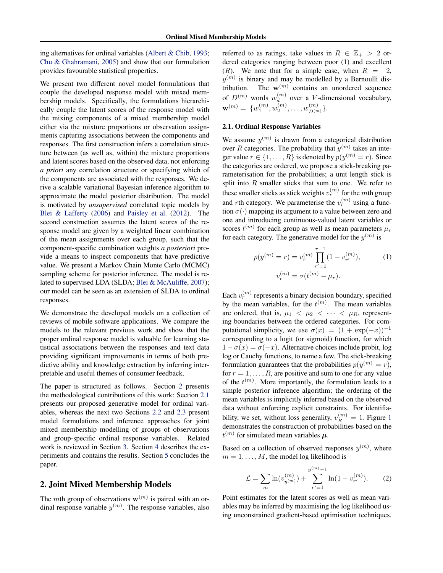<span id="page-1-0"></span>ing alternatives for ordinal variables [\(Albert & Chib,](#page-8-0) [1993;](#page-8-0) [Chu & Ghahramani,](#page-8-0) [2005\)](#page-8-0) and show that our formulation provides favourable statistical properties.

We present two different novel model formulations that couple the developed response model with mixed membership models. Specifically, the formulations hierarchically couple the latent scores of the response model with the mixing components of a mixed membership model either via the mixture proportions or observation assignments capturing associations between the components and responses. The first construction infers a correlation structure between (as well as, within) the mixture proportions and latent scores based on the observed data, not enforcing *a priori* any correlation structure or specifying which of the components are associated with the responses. We derive a scalable variational Bayesian inference algorithm to approximate the model posterior distribution. The model is motivated by *unsupervised* correlated topic models by [Blei & Lafferty](#page-8-0) [\(2006\)](#page-8-0) and [Paisley et al.](#page-8-0) [\(2012\)](#page-8-0). The second construction assumes the latent scores of the response model are given by a weighted linear combination of the mean assignments over each group, such that the component-specific combination weights *a posteriori* provide a means to inspect components that have predictive value. We present a Markov Chain Monte Carlo (MCMC) sampling scheme for posterior inference. The model is related to supervised LDA (SLDA; [Blei & McAuliffe,](#page-8-0) [2007\)](#page-8-0); our model can be seen as an extension of SLDA to ordinal responses.

We demonstrate the developed models on a collection of reviews of mobile software applications. We compare the models to the relevant previous work and show that the proper ordinal response model is valuable for learning statistical associations between the responses and text data providing significant improvements in terms of both predictive ability and knowledge extraction by inferring interpretable and useful themes of consumer feedback.

The paper is structured as follows. Section 2 presents the methodological contributions of this work: Section 2.1 presents our proposed generative model for ordinal variables, whereas the next two Sections [2.2](#page-2-0) and [2.3](#page-4-0) present model formulations and inference approaches for joint mixed membership modelling of groups of observations and group-specific ordinal response variables. Related work is reviewed in Section [3.](#page-5-0) Section [4](#page-5-0) describes the experiments and contains the results. Section [5](#page-7-0) concludes the paper.

# 2. Joint Mixed Membership Models

The mth group of observations  $w^{(m)}$  is paired with an ordinal response variable  $y^{(m)}$ . The response variables, also referred to as ratings, take values in  $R \in \mathbb{Z}_+ > 2$  ordered categories ranging between poor (1) and excellent  $(R)$ . We note that for a simple case, when  $R = 2$ ,  $y^{(m)}$  is binary and may be modelled by a Bernoulli distribution. The  $\mathbf{w}^{(m)}$  contains an unordered sequence of  $D^{(m)}$  words  $w_d^{(m)}$  $\binom{m}{d}$  over a *V*-dimensional vocabulary,  $\mathbf{w}^{(m)} = \{w_1^{(m)}, w_2^{(m)}, \dots, w_{D^{(m)}}^{(m)}\}.$ 

## 2.1. Ordinal Response Variables

We assume  $y^{(m)}$  is drawn from a categorical distribution over R categories. The probability that  $y^{(m)}$  takes an integer value  $r \in \{1, \ldots, R\}$  is denoted by  $p(y^{(m)} = r)$ . Since the categories are ordered, we propose a stick-breaking parameterisation for the probabilities; a unit length stick is split into  $R$  smaller sticks that sum to one. We refer to these smaller sticks as stick weights  $v_r^{(m)}$  for the mth group and *r*th category. We parameterise the  $v_r^{(m)}$  using a function  $\sigma(\cdot)$  mapping its argument to a value between zero and one and introducing continuous-valued latent variables or scores  $t^{(m)}$  for each group as well as mean parameters  $\mu_r$ for each category. The generative model for the  $y^{(m)}$  is

$$
p(y^{(m)} = r) = v_r^{(m)} \prod_{r'=1}^{r-1} (1 - v_{r'}^{(m)}),
$$
  
\n
$$
v_r^{(m)} = \sigma(t^{(m)} - \mu_r).
$$
\n(1)

Each  $v_r^{(m)}$  represents a binary decision boundary, specified by the mean variables, for the  $t^{(m)}$ . The mean variables are ordered, that is,  $\mu_1 < \mu_2 < \cdots < \mu_R$ , representing boundaries between the ordered categories. For computational simplicity, we use  $\sigma(x) = (1 + \exp(-x))^{-1}$ corresponding to a logit (or sigmoid) function, for which  $1 - \sigma(x) = \sigma(-x)$ . Alternative choices include probit, log log or Cauchy functions, to name a few. The stick-breaking formulation guarantees that the probabilities  $p(y^{(m)} = r)$ , for  $r = 1, \ldots, R$ , are positive and sum to one for any value of the  $t^{(m)}$ . More importantly, the formulation leads to a simple posterior inference algorithm; the ordering of the mean variables is implicitly inferred based on the observed data without enforcing explicit constraints. For identifiability, we set, without loss generality,  $v_R^{(m)} = 1$  $v_R^{(m)} = 1$ . Figure 1 demonstrates the construction of probabilities based on the  $t^{(m)}$  for simulated mean variables  $\mu$ .

Based on a collection of observed responses  $y^{(m)}$ , where  $m = 1, \ldots, M$ , the model log likelihood is

$$
\mathcal{L} = \sum_{m} \ln(v_{y^{(m)}}^{(m)}) + \sum_{r'=1}^{y^{(m)}-1} \ln(1 - v_{r'}^{(m)}).
$$
 (2)

Point estimates for the latent scores as well as mean variables may be inferred by maximising the log likelihood using unconstrained gradient-based optimisation techniques.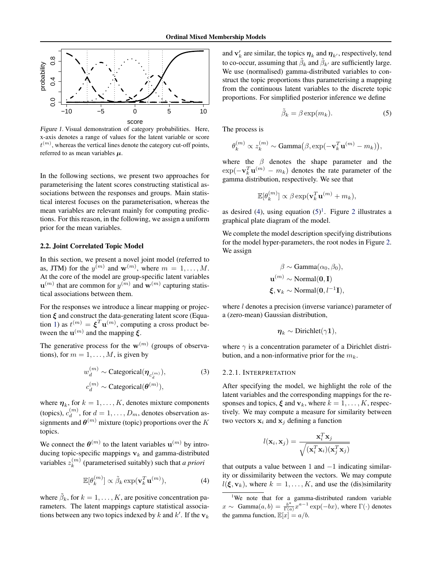<span id="page-2-0"></span>

Figure 1. Visual demonstration of category probabilities. Here, x-axis denotes a range of values for the latent variable or score  $t^{(m)}$ , whereas the vertical lines denote the category cut-off points, referred to as mean variables  $\mu$ .

In the following sections, we present two approaches for parameterising the latent scores constructing statistical associations between the responses and groups. Main statistical interest focuses on the parameterisation, whereas the mean variables are relevant mainly for computing predictions. For this reason, in the following, we assign a uniform prior for the mean variables.

## 2.2. Joint Correlated Topic Model

In this section, we present a novel joint model (referred to as, JTM) for the  $y^{(m)}$  and  $\mathbf{w}^{(m)}$ , where  $m = 1, \dots, M$ . At the core of the model are group-specific latent variables  $\mathbf{u}^{(m)}$  that are common for  $y^{(m)}$  and  $\mathbf{w}^{(m)}$  capturing statistical associations between them.

For the responses we introduce a linear mapping or projection  $\xi$  and construct the data-generating latent score (Equa-tion [1\)](#page-1-0) as  $t^{(m)} = \boldsymbol{\xi}^T \mathbf{u}^{(m)}$ , computing a cross product between the  $\mathbf{u}^{(m)}$  and the mapping  $\boldsymbol{\xi}$ .

The generative process for the  $w^{(m)}$  (groups of observations), for  $m = 1, \ldots, M$ , is given by

$$
w_d^{(m)} \sim \text{Categorical}(\boldsymbol{\eta}_{c_d^{(m)}}),
$$
  
\n
$$
c_d^{(m)} \sim \text{Categorical}(\boldsymbol{\theta}^{(m)}),
$$
\n(3)

where  $\eta_k$ , for  $k = 1, ..., K$ , denotes mixture components (topics),  $c_d^{(m)}$  $\binom{m}{d}$ , for  $d = 1, \ldots, D_m$ , denotes observation assignments and  $\boldsymbol{\theta}^{(m)}$  mixture (topic) proportions over the K topics.

We connect the  $\theta^{(m)}$  to the latent variables  $\mathbf{u}^{(m)}$  by introducing topic-specific mappings  $v_k$  and gamma-distributed variables  $z_k^{(m)}$  $k<sup>(m)</sup>$  (parameterised suitably) such that *a priori* 

$$
\mathbb{E}[\theta_k^{(m)}] \propto \tilde{\beta}_k \exp(\mathbf{v}_k^T \mathbf{u}^{(m)}),\tag{4}
$$

where  $\tilde{\beta}_k$ , for  $k = 1, ..., K$ , are positive concentration parameters. The latent mappings capture statistical associations between any two topics indexed by k and k'. If the  $v_k$ 

and  $\mathbf{v}'_k$  are similar, the topics  $\boldsymbol{\eta}_k$  and  $\boldsymbol{\eta}_{k'}$ , respectively, tend to co-occur, assuming that  $\tilde{\beta}_k$  and  $\tilde{\beta}_{k'}$  are sufficiently large. We use (normalised) gamma-distributed variables to construct the topic proportions thus parameterising a mapping from the continuous latent variables to the discrete topic proportions. For simplified posterior inference we define

$$
\tilde{\beta}_k = \beta \exp(m_k). \tag{5}
$$

The process is

$$
\theta_k^{(m)} \propto z_k^{(m)} \sim \text{Gamma}\big(\beta, \exp(-\mathbf{v}_k^T \mathbf{u}^{(m)} - m_k)\big),
$$

where the  $\beta$  denotes the shape parameter and the  $\exp(-\mathbf{v}_k^T \mathbf{u}^{(m)} - m_k)$  denotes the rate parameter of the gamma distribution, respectively. We see that

$$
\mathbb{E}[\theta_k^{(m)}] \propto \beta \exp(\mathbf{v}_k^T \mathbf{u}^{(m)} + m_k),
$$

as desired (4), using equation  $(5)^1$ . Figure [2](#page-3-0) illustrates a graphical plate diagram of the model.

We complete the model description specifying distributions for the model hyper-parameters, the root nodes in Figure [2.](#page-3-0) We assign

$$
\beta \sim \text{Gamma}(\alpha_0, \beta_0),
$$
  

$$
\mathbf{u}^{(m)} \sim \text{Normal}(\mathbf{0}, \mathbf{I})
$$
  

$$
\boldsymbol{\xi}, \mathbf{v}_k \sim \text{Normal}(\mathbf{0}, l^{-1}\mathbf{I}),
$$

where *l* denotes a precision (inverse variance) parameter of a (zero-mean) Gaussian distribution,

$$
\boldsymbol{\eta}_k \sim \text{Dirichlet}(\gamma \mathbf{1}),
$$

where  $\gamma$  is a concentration parameter of a Dirichlet distribution, and a non-informative prior for the  $m_k$ .

#### 2.2.1. INTERPRETATION

After specifying the model, we highlight the role of the latent variables and the corresponding mappings for the responses and topics,  $\xi$  and  $v_k$ , where  $k = 1, \dots, K$ , respectively. We may compute a measure for similarity between two vectors  $x_i$  and  $x_j$  defining a function

$$
l(\mathbf{x}_i, \mathbf{x}_j) = \frac{\mathbf{x}_i^T \mathbf{x}_j}{\sqrt{(\mathbf{x}_i^T \mathbf{x}_i)(\mathbf{x}_j^T \mathbf{x}_j)}}
$$

that outputs a value between 1 and  $-1$  indicating similarity or dissimilarity between the vectors. We may compute  $l(\xi, v_k)$ , where  $k = 1, ..., K$ , and use the (dis)similarity

<sup>&</sup>lt;sup>1</sup>We note that for a gamma-distributed random variable  $x \sim \text{Gamma}(a, b) = \frac{b^a}{\Gamma(a)}$  $\frac{b^a}{\Gamma(a)} x^{a-1} \exp(-bx)$ , where  $\Gamma(\cdot)$  denotes the gamma function,  $\mathbb{E}[x] = a/b$ .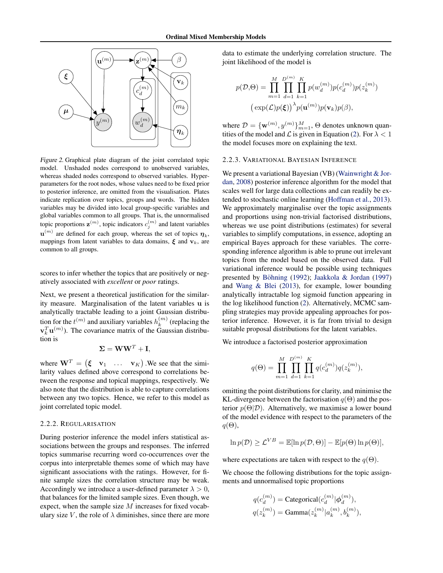<span id="page-3-0"></span>

Figure 2. Graphical plate diagram of the joint correlated topic model. Unshaded nodes correspond to unobserved variables, whereas shaded nodes correspond to observed variables. Hyperparameters for the root nodes, whose values need to be fixed prior to posterior inference, are omitted from the visualisation. Plates indicate replication over topics, groups and words. The hidden variables may be divided into local group-specific variables and global variables common to all groups. That is, the unnormalised topic proportions  $\mathbf{z}^{(m)}$ , topic indicators  $c_j^{(m)}$  and latent variables  $\mathbf{u}^{(m)}$  are defined for each group, whereas the set of topics  $\boldsymbol{\eta}_k$ , mappings from latent variables to data domains,  $\xi$  and  $v_k$ , are common to all groups.

scores to infer whether the topics that are positively or negatively associated with *excellent* or *poor* ratings.

Next, we present a theoretical justification for the similarity measure. Marginalisation of the latent variables u is analytically tractable leading to a joint Gaussian distribution for the  $t^{(m)}$  and auxiliary variables  $h_k^{(m)}$  $k^{(m)}$  (replacing the  $\mathbf{v}_k^T \mathbf{u}^{(m)}$ ). The covariance matrix of the Gaussian distribution is

$$
\Sigma = \mathbf{W}\mathbf{W}^T + \mathbf{I},
$$

where  $\mathbf{W}^T = \begin{pmatrix} \xi & \mathbf{v}_1 & \dots & \mathbf{v}_K \end{pmatrix}$ . We see that the similarity values defined above correspond to correlations between the response and topical mappings, respectively. We also note that the distribution is able to capture correlations between any two topics. Hence, we refer to this model as joint correlated topic model.

#### 2.2.2. REGULARISATION

During posterior inference the model infers statistical associations between the groups and responses. The inferred topics summarise recurring word co-occurrences over the corpus into interpretable themes some of which may have significant associations with the ratings. However, for finite sample sizes the correlation structure may be weak. Accordingly we introduce a user-defined parameter  $\lambda > 0$ , that balances for the limited sample sizes. Even though, we expect, when the sample size  $M$  increases for fixed vocabulary size V, the role of  $\lambda$  diminishes, since there are more

data to estimate the underlying correlation structure. The joint likelihood of the model is

$$
p(\mathcal{D},\Theta) = \prod_{m=1}^{M} \prod_{d=1}^{D^{(m)}} \prod_{k=1}^{K} p(w_d^{(m)}) p(c_d^{(m)}) p(z_k^{(m)})
$$

$$
(\exp(\mathcal{L}) p(\xi))^{\lambda} p(\mathbf{u}^{(m)}) p(\mathbf{v}_k) p(\beta),
$$

where  $\mathcal{D} = {\mathbf{w}^{(m)}, y^{(m)}\}_{m=1}^{M}, \Theta$  denotes unknown quantities of the model and  $\mathcal L$  is given in Equation [\(2\)](#page-1-0). For  $\lambda < 1$ the model focuses more on explaining the text.

## 2.2.3. VARIATIONAL BAYESIAN INFERENCE

We present a variational Bayesian (VB) [\(Wainwright & Jor](#page-8-0)[dan,](#page-8-0) [2008\)](#page-8-0) posterior inference algorithm for the model that scales well for large data collections and can readily be extended to stochastic online learning [\(Hoffman et al.,](#page-8-0) [2013\)](#page-8-0). We approximately marginalise over the topic assignments and proportions using non-trivial factorised distributions, whereas we use point distributions (estimates) for several variables to simplify computations, in essence, adopting an empirical Bayes approach for these variables. The corresponding inference algorithm is able to prune out irrelevant topics from the model based on the observed data. Full variational inference would be possible using techniques presented by Böhning  $(1992)$ ; [Jaakkola & Jordan](#page-8-0)  $(1997)$ and [Wang & Blei](#page-8-0) [\(2013\)](#page-8-0), for example, lower bounding analytically intractable log sigmoid function appearing in the log likelihood function [\(2\)](#page-1-0). Alternatively, MCMC sampling strategies may provide appealing approaches for posterior inference. However, it is far from trivial to design suitable proposal distributions for the latent variables.

We introduce a factorised posterior approximation

$$
q(\Theta) = \prod_{m=1}^{M} \prod_{d=1}^{D^{(m)}} \prod_{k=1}^{K} q(c_d^{(m)}) q(z_k^{(m)}),
$$

omitting the point distributions for clarity, and minimise the KL-divergence between the factorisation  $q(\Theta)$  and the posterior  $p(\Theta|\mathcal{D})$ . Alternatively, we maximise a lower bound of the model evidence with respect to the parameters of the  $q(\Theta)$ ,

$$
\ln p(\mathcal{D}) \ge \mathcal{L}^{VB} = \mathbb{E}[\ln p(\mathcal{D}, \Theta)] - \mathbb{E}[p(\Theta) \ln p(\Theta)],
$$

where expectations are taken with respect to the  $q(\Theta)$ .

We choose the following distributions for the topic assignments and unnormalised topic proportions

$$
\begin{aligned} q(c_d^{(m)}) &= \text{Categorical}(c_d^{(m)}|\boldsymbol{\phi}_d^{(m)}),\\ q(z_k^{(m)}) &= \text{Gamma}(z_k^{(m)}|a_k^{(m)},b_k^{(m)}), \end{aligned}
$$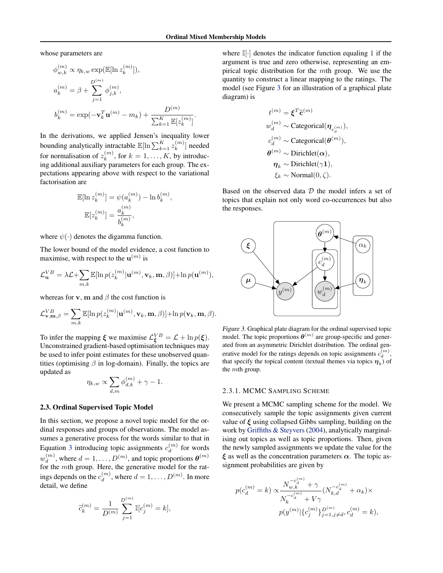.

<span id="page-4-0"></span>whose parameters are

$$
\phi_{w,k}^{(m)} \propto \eta_{k,w} \exp(\mathbb{E}[\ln z_k^{(m)}]),
$$
  
\n
$$
a_k^{(m)} = \beta + \sum_{j=1}^{D^{(m)}} \phi_{j,k}^{(m)},
$$
  
\n
$$
b_k^{(m)} = \exp(-\mathbf{v}_k^T \mathbf{u}^{(m)} - m_k) + \frac{D^{(m)}}{\sum_{k=1}^K \mathbb{E}[z_k^{(m)}]}
$$

In the derivations, we applied Jensen's inequality lower bounding analytically intractable  $\mathbb{E}[\ln \sum_{k=1}^{K} z_k^{(m)}]$  $\binom{m}{k}$  needed for normalisation of  $z_k^{(m)}$  $k_k^{(m)}$ , for  $k = 1, \ldots, K$ , by introducing additional auxiliary parameters for each group. The expectations appearing above with respect to the variational factorisation are

$$
\mathbb{E}[\ln z_k^{(m)}] = \psi(a_k^{(m)}) - \ln b_k^{(m)},
$$
  

$$
\mathbb{E}[z_k^{(m)}] = \frac{a_k^{(m)}}{b_k^{(m)}},
$$

where  $\psi(\cdot)$  denotes the digamma function.

The lower bound of the model evidence, a cost function to maximise, with respect to the  $\mathbf{u}^{(m)}$  is

$$
\mathcal{L}_{\mathbf{u}}^{VB} = \lambda \mathcal{L} + \sum_{m,k} \mathbb{E}[\ln p(z_k^{(m)} | \mathbf{u}^{(m)}, \mathbf{v}_k, \mathbf{m}, \beta)] + \ln p(\mathbf{u}^{(m)}),
$$

whereas for v, m and  $\beta$  the cost function is

$$
\mathcal{L}_{\mathbf{v},\mathbf{m},\beta}^{VB} = \sum_{m,k} \mathbb{E}[\ln p(z_k^{(m)}|\mathbf{u}^{(m)},\mathbf{v}_k,\mathbf{m},\beta)] + \ln p(\mathbf{v}_k,\mathbf{m},\beta).
$$

To infer the mapping  $\xi$  we maximise  $\mathcal{L}_{\xi}^{VB} = \mathcal{L} + \ln p(\xi)$ . Unconstrained gradient-based optimisation techniques may be used to infer point estimates for these unobserved quantities (optimising  $\beta$  in log-domain). Finally, the topics are updated as

$$
\eta_{k,w} \propto \sum_{d,m} \phi_{d,k}^{(m)} + \gamma - 1.
$$

## 2.3. Ordinal Supervised Topic Model

In this section, we propose a novel topic model for the ordinal responses and groups of observations. The model assumes a generative process for the words similar to that in Equation [3](#page-2-0) introducing topic assignments  $c_d^{(m)}$  $\binom{m}{d}$  for words  $w_d^{(m)}$  $\mathcal{A}_{d}^{(m)}$ , where  $d = 1, \ldots, D^{(m)}$ , and topic proportions  $\boldsymbol{\theta}^{(m)}$ for the mth group. Here, the generative model for the ratings depends on the  $c_d^{(m)}$  $\binom{m}{d}$ , where  $d = 1, \ldots, D^{(m)}$ . In more detail, we define

$$
\tilde{c}_{k}^{(m)} = \frac{1}{D^{(m)}} \sum_{j=1}^{D^{(m)}} \mathbb{I}[c_{j}^{(m)} = k],
$$

where  $\mathbb{I}[\cdot]$  denotes the indicator function equaling 1 if the argument is true and zero otherwise, representing an empirical topic distribution for the mth group. We use the quantity to construct a linear mapping to the ratings. The model (see Figure 3 for an illustration of a graphical plate diagram) is

$$
t^{(m)} = \boldsymbol{\xi}^T \widetilde{\mathbf{c}}^{(m)}
$$
  
\n
$$
w_d^{(m)} \sim \text{Categorical}(\boldsymbol{\eta}_{c_d^{(m)}}),
$$
  
\n
$$
c_d^{(m)} \sim \text{Categorical}(\boldsymbol{\theta}^{(m)}),
$$
  
\n
$$
\boldsymbol{\theta}^{(m)} \sim \text{Dirichlet}(\boldsymbol{\alpha}),
$$
  
\n
$$
\boldsymbol{\eta}_k \sim \text{Dirichlet}(\gamma \mathbf{1}),
$$
  
\n
$$
\xi_k \sim \text{Normal}(0, \zeta).
$$

Based on the observed data  $D$  the model infers a set of topics that explain not only word co-occurrences but also the responses.



Figure 3. Graphical plate diagram for the ordinal supervised topic model. The topic proportions  $\boldsymbol{\theta}^{(m)}$  are group-specific and generated from an asymmetric Dirichlet distribution. The ordinal generative model for the ratings depends on topic assignments  $c_d^{(m)}$ , that specify the topical content (textual themes via topics  $\eta_k$ ) of the mth group.

## 2.3.1. MCMC SAMPLING SCHEME

We present a MCMC sampling scheme for the model. We consecutively sample the topic assignments given current value of  $\xi$  using collapsed Gibbs sampling, building on the work by [Griffiths & Steyvers](#page-8-0) [\(2004\)](#page-8-0), analytically marginalising out topics as well as topic proportions. Then, given the newly sampled assignments we update the value for the  $\xi$  as well as the concentration parameters  $\alpha$ . The topic assignment probabilities are given by

$$
p(c_d^{(m)} = k) \propto \frac{N_{w,k}^{-c_d^{(m)}} + \gamma}{N_k^{-c_d^{(m)}} + V\gamma} (N_{k,d}^{-c_d^{(m)}} + \alpha_k) \times
$$
  

$$
p(y^{(m)} | \{c_j^{(m)}\}_{j=1,j \neq d}^{D^{(m)}}, c_d^{(m)} = k),
$$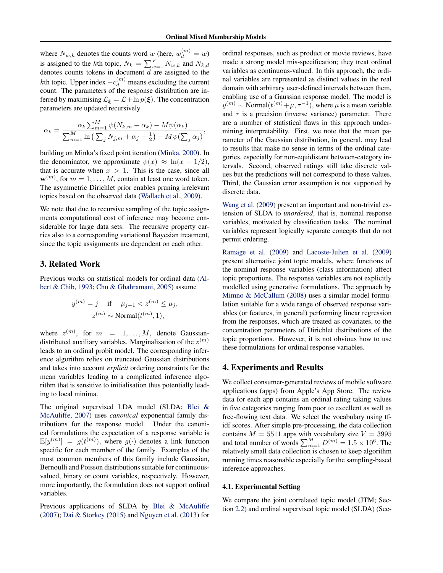<span id="page-5-0"></span>where  $N_{w,k}$  denotes the counts word w (here,  $w_d^{(m)} = w$ ) is assigned to the *k*th topic,  $N_k = \sum_{w=1}^{V} N_{w,k}$  and  $N_{k,d}$ denotes counts tokens in document  $d$  are assigned to the kth topic. Upper index  $-c_d^{(m)}$  means excluding the current count. The parameters of the response distribution are inferred by maximising  $\mathcal{L}_{\xi} = \mathcal{L} + \ln p(\xi)$ . The concentration parameters are updated recursively

$$
\alpha_k = \frac{\alpha_k \sum_{m=1}^M \psi(N_{k,m} + \alpha_k) - M\psi(\alpha_k)}{\sum_{m=1}^M \ln\left(\sum_j N_{j,m} + \alpha_j - \frac{1}{2}\right) - M\psi(\sum_j \alpha_j)},
$$

building on Minka's fixed point iteration [\(Minka,](#page-8-0) [2000\)](#page-8-0). In the denominator, we approximate  $\psi(x) \approx \ln(x - 1/2)$ , that is accurate when  $x > 1$ . This is the case, since all  $\mathbf{w}^{(m)}$ , for  $m = 1, \dots, M$ , contain at least one word token. The asymmetric Dirichlet prior enables pruning irrelevant topics based on the observed data [\(Wallach et al.,](#page-8-0) [2009\)](#page-8-0).

We note that due to recursive sampling of the topic assignments computational cost of inference may become considerable for large data sets. The recursive property carries also to a corresponding variational Bayesian treatment, since the topic assignments are dependent on each other.

# 3. Related Work

Previous works on statistical models for ordinal data [\(Al](#page-8-0)[bert & Chib,](#page-8-0) [1993;](#page-8-0) [Chu & Ghahramani,](#page-8-0) [2005\)](#page-8-0) assume

$$
y^{(m)} = j \quad \text{if} \quad \mu_{j-1} < z^{(m)} \le \mu_j,
$$
\n
$$
z^{(m)} \sim \text{Normal}(t^{(m)}, 1),
$$

where  $z^{(m)}$ , for  $m = 1, ..., M$ , denote Gaussiandistributed auxiliary variables. Marginalisation of the  $z^{(m)}$ leads to an ordinal probit model. The corresponding inference algorithm relies on truncated Gaussian distributions and takes into account *explicit* ordering constraints for the mean variables leading to a complicated inference algorithm that is sensitive to initialisation thus potentially leading to local minima.

The original supervised LDA model (SLDA; [Blei &](#page-8-0) [McAuliffe,](#page-8-0) [2007\)](#page-8-0) uses *canonical* exponential family distributions for the response model. Under the canonical formulations the expectation of a response variable is  $\mathbb{E}[y^{(m)}] = g(t^{(m)})$ , where  $g(\cdot)$  denotes a link function specific for each member of the family. Examples of the most common members of this family include Gaussian, Bernoulli and Poisson distributions suitable for continuousvalued, binary or count variables, respectively. However, more importantly, the formulation does not support ordinal variables.

Previous applications of SLDA by [Blei & McAuliffe](#page-8-0) [\(2007\)](#page-8-0); [Dai & Storkey](#page-8-0) [\(2015\)](#page-8-0) and [Nguyen et al.](#page-8-0) [\(2013\)](#page-8-0) for ordinal responses, such as product or movie reviews, have made a strong model mis-specification; they treat ordinal variables as continuous-valued. In this approach, the ordinal variables are represented as distinct values in the real domain with arbitrary user-defined intervals between them, enabling use of a Gaussian response model. The model is  $y^{(m)} \sim \text{Normal}(t^{(m)} + \mu, \tau^{-1}),$  where  $\mu$  is a mean variable and  $\tau$  is a precision (inverse variance) parameter. There are a number of statistical flaws in this approach undermining interpretability. First, we note that the mean parameter of the Gaussian distribution, in general, may lead to results that make no sense in terms of the ordinal categories, especially for non-equidistant between-category intervals. Second, observed ratings still take discrete values but the predictions will not correspond to these values. Third, the Gaussian error assumption is not supported by discrete data.

[Wang et al.](#page-8-0) [\(2009\)](#page-8-0) present an important and non-trivial extension of SLDA to *unordered*, that is, nominal response variables, motivated by classification tasks. The nominal variables represent logically separate concepts that do not permit ordering.

[Ramage et al.](#page-8-0) [\(2009\)](#page-8-0) and [Lacoste-Julien et al.](#page-8-0) [\(2009\)](#page-8-0) present alternative joint topic models, where functions of the nominal response variables (class information) affect topic proportions. The response variables are not explicitly modelled using generative formulations. The approach by [Mimno & McCallum](#page-8-0) [\(2008\)](#page-8-0) uses a similar model formulation suitable for a wide range of observed response variables (or features, in general) performing linear regression from the responses, which are treated as covariates, to the concentration parameters of Dirichlet distributions of the topic proportions. However, it is not obvious how to use these formulations for ordinal response variables.

## 4. Experiments and Results

We collect consumer-generated reviews of mobile software applications (apps) from Apple's App Store. The review data for each app contains an ordinal rating taking values in five categories ranging from poor to excellent as well as free-flowing text data. We select the vocabulary using tfidf scores. After simple pre-processing, the data collection contains  $M = 5511$  apps with vocabulary size  $V = 3995$ and total number of words  $\sum_{m=1}^{M} D^{(m)} = 1.5 \times 10^6$ . The relatively small data collection is chosen to keep algorithm running times reasonable especially for the sampling-based inference approaches.

# 4.1. Experimental Setting

We compare the joint correlated topic model (JTM; Section [2.2\)](#page-2-0) and ordinal supervised topic model (SLDA) (Sec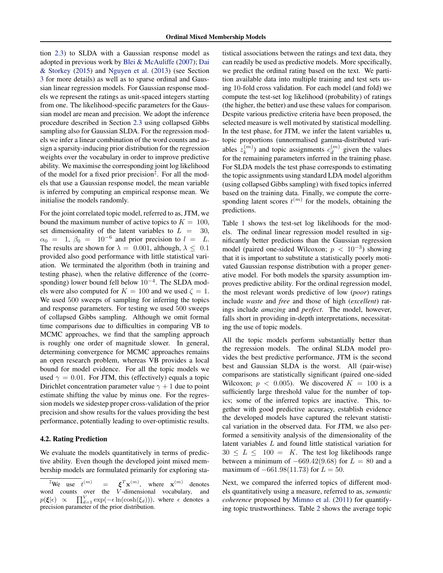tion [2.3\)](#page-4-0) to SLDA with a Gaussian response model as adopted in previous work by [Blei & McAuliffe](#page-8-0) [\(2007\)](#page-8-0); [Dai](#page-8-0) [& Storkey](#page-8-0) [\(2015\)](#page-8-0) and [Nguyen et al.](#page-8-0) [\(2013\)](#page-8-0) (see Section [3](#page-5-0) for more details) as well as to sparse ordinal and Gaussian linear regression models. For Gaussian response models we represent the ratings as unit-spaced integers starting from one. The likelihood-specific parameters for the Gaussian model are mean and precision. We adopt the inference procedure described in Section [2.3](#page-4-0) using collapsed Gibbs sampling also for Gaussian SLDA. For the regression models we infer a linear combination of the word counts and assign a sparsity-inducing prior distribution for the regression weights over the vocabulary in order to improve predictive ability. We maximise the corresponding joint log likelihood of the model for a fixed prior precision<sup>2</sup>. For all the models that use a Gaussian response model, the mean variable is inferred by computing an empirical response mean. We initialise the models randomly.

For the joint correlated topic model, referred to as, JTM, we bound the maximum number of active topics to  $K = 100$ , set dimensionality of the latent variables to  $L = 30$ ,  $\alpha_0 = 1, \beta_0 = 10^{-6}$  and prior precision to  $l = L$ . The results are shown for  $\lambda = 0.001$ , although,  $\lambda \leq 0.1$ provided also good performance with little statistical variation. We terminated the algorithm (both in training and testing phase), when the relative difference of the (corresponding) lower bound fell below 10<sup>-4</sup>. The SLDA models were also computed for  $K = 100$  and we used  $\zeta = 1$ . We used 500 sweeps of sampling for inferring the topics and response parameters. For testing we used 500 sweeps of collapsed Gibbs sampling. Although we omit formal time comparisons due to difficulties in comparing VB to MCMC approaches, we find that the sampling approach is roughly one order of magnitude slower. In general, determining convergence for MCMC approaches remains an open research problem, whereas VB provides a local bound for model evidence. For all the topic models we used  $\gamma = 0.01$ . For JTM, this (effectively) equals a topic Dirichlet concentration parameter value  $\gamma + 1$  due to point estimate shifting the value by minus one. For the regression models we sidestep proper cross-validation of the prior precision and show results for the values providing the best performance, potentially leading to over-optimistic results.

## 4.2. Rating Prediction

We evaluate the models quantitatively in terms of predictive ability. Even though the developed joint mixed membership models are formulated primarily for exploring statistical associations between the ratings and text data, they can readily be used as predictive models. More specifically, we predict the ordinal rating based on the text. We partition available data into multiple training and test sets using 10-fold cross validation. For each model (and fold) we compute the test-set log likelihood (probability) of ratings (the higher, the better) and use these values for comparison. Despite various predictive criteria have been proposed, the selected measure is well motivated by statistical modelling. In the test phase, for JTM, we infer the latent variables u, topic proportions (unnormalised gamma-distributed variables  $z_k^{(m)}$  $\binom{m}{k}$  and topic assignments  $c_d^{(m)}$  $\binom{m}{d}$  given the values for the remaining parameters inferred in the training phase. For SLDA models the test phase corresponds to estimating the topic assignments using standard LDA model algorithm (using collapsed Gibbs sampling) with fixed topics inferred based on the training data. Finally, we compute the corresponding latent scores  $t^{(m)}$  for the models, obtaining the predictions.

Table [1](#page-7-0) shows the test-set log likelihoods for the models. The ordinal linear regression model resulted in significantly better predictions than the Gaussian regression model (paired one-sided Wilcoxon;  $p < 10^{-3}$ ) showing that it is important to substitute a statistically poorly motivated Gaussian response distribution with a proper generative model. For both models the sparsity assumption improves predictive ability. For the ordinal regression model, the most relevant words predictive of low (*poor*) ratings include *waste* and *free* and those of high (*excellent*) ratings include *amazing* and *perfect*. The model, however, falls short in providing in-depth interpretations, necessitating the use of topic models.

All the topic models perform substantially better than the regression models. The ordinal SLDA model provides the best predictive performance, JTM is the second best and Gaussian SLDA is the worst. All (pair-wise) comparisons are statistically significant (paired one-sided Wilcoxon;  $p < 0.005$ ). We discovered  $K = 100$  is a sufficiently large threshold value for the number of topics; some of the inferred topics are inactive. This, together with good predictive accuracy, establish evidence the developed models have captured the relevant statistical variation in the observed data. For JTM, we also performed a sensitivity analysis of the dimensionality of the latent variables L and found little statistical variation for  $30 \leq L \leq 100 = K$ . The test log likelihoods range between a minimum of  $-669.42(9.68)$  for  $L = 80$  and a maximum of  $-661.98(11.73)$  for  $L = 50$ .

Next, we compared the inferred topics of different models quantitatively using a measure, referred to as, *semantic coherence* proposed by [Mimno et al.](#page-8-0) [\(2011\)](#page-8-0) for quantifying topic trustworthiness. Table [2](#page-7-0) shows the average topic

<sup>&</sup>lt;sup>2</sup>We use  $t^{(m)}$  $\mathbf{g}^{(m)}$  =  $\boldsymbol{\xi}^{T} \mathbf{x}^{(m)}$ , where  $\mathbf{x}^{(m)}$  denotes word counts over the  $\check{V}$ -dimensional vocabulary, and  $p(\boldsymbol{\xi}|\epsilon) \propto \prod_{d=1}^{V} \exp(-\epsilon \ln(\cosh(\xi_d))),$  where  $\epsilon$  denotes a precision parameter of the prior distribution.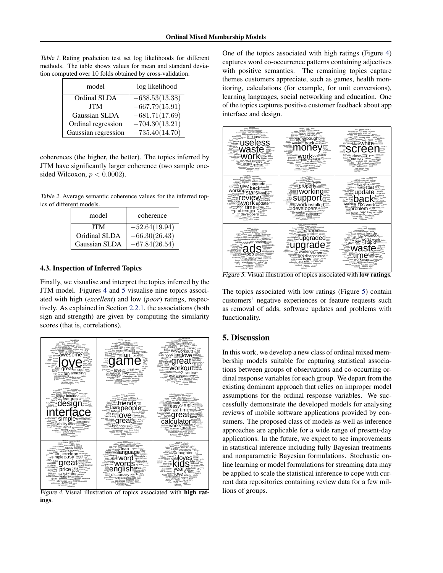<span id="page-7-0"></span>Table 1. Rating prediction test set log likelihoods for different methods. The table shows values for mean and standard deviation computed over 10 folds obtained by cross-validation.

| model               | log likelihood   |
|---------------------|------------------|
| Ordinal SLDA        | $-638.53(13.38)$ |
| <b>JTM</b>          | $-667.79(15.91)$ |
| Gaussian SLDA       | $-681.71(17.69)$ |
| Ordinal regression  | $-704.30(13.21)$ |
| Gaussian regression | $-735.40(14.70)$ |

coherences (the higher, the better). The topics inferred by JTM have significantly larger coherence (two sample onesided Wilcoxon,  $p < 0.0002$ ).

Table 2. Average semantic coherence values for the inferred topics of different models.

| model         | coherence       |
|---------------|-----------------|
| <b>JTM</b>    | $-52.64(19.94)$ |
| Oridinal SLDA | $-66.30(26.43)$ |
| Gaussian SLDA | $-67.84(26.54)$ |

## 4.3. Inspection of Inferred Topics

Finally, we visualise and interpret the topics inferred by the JTM model. Figures 4 and 5 visualise nine topics associated with high (*excellent*) and low (*poor*) ratings, respectively. As explained in Section [2.2.1,](#page-2-0) the associations (both sign and strength) are given by computing the similarity scores (that is, correlations).



Figure 4. Visual illustration of topics associated with high ratings.

One of the topics associated with high ratings (Figure 4) captures word co-occurrence patterns containing adjectives with positive semantics. The remaining topics capture themes customers appreciate, such as games, health monitoring, calculations (for example, for unit conversions), learning languages, social networking and education. One of the topics captures positive customer feedback about app interface and design.



Figure 5. Visual illustration of topics associated with **low ratings**.

The topics associated with low ratings (Figure 5) contain customers' negative experiences or feature requests such as removal of adds, software updates and problems with functionality.

# 5. Discussion

In this work, we develop a new class of ordinal mixed membership models suitable for capturing statistical associations between groups of observations and co-occurring ordinal response variables for each group. We depart from the existing dominant approach that relies on improper model assumptions for the ordinal response variables. We successfully demonstrate the developed models for analysing reviews of mobile software applications provided by consumers. The proposed class of models as well as inference approaches are applicable for a wide range of present-day applications. In the future, we expect to see improvements in statistical inference including fully Bayesian treatments and nonparametric Bayesian formulations. Stochastic online learning or model formulations for streaming data may be applied to scale the statistical inference to cope with current data repositories containing review data for a few millions of groups.